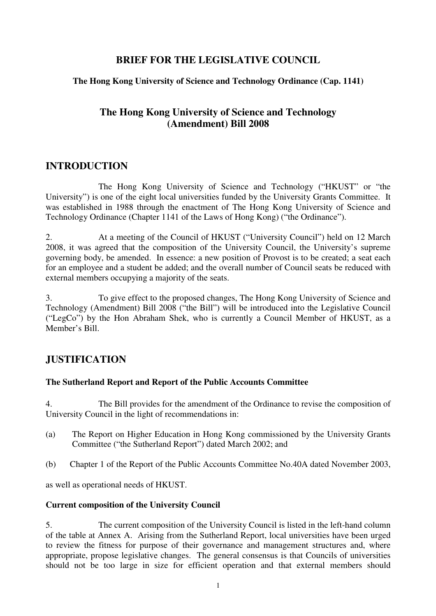## **BRIEF FOR THE LEGISLATIVE COUNCIL**

## **The Hong Kong University of Science and Technology Ordinance (Cap. 1141)**

## **The Hong Kong University of Science and Technology (Amendment) Bill 2008**

## **INTRODUCTION**

 The Hong Kong University of Science and Technology ("HKUST" or "the University") is one of the eight local universities funded by the University Grants Committee. It was established in 1988 through the enactment of The Hong Kong University of Science and Technology Ordinance (Chapter 1141 of the Laws of Hong Kong) ("the Ordinance").

2. At a meeting of the Council of HKUST ("University Council") held on 12 March 2008, it was agreed that the composition of the University Council, the University's supreme governing body, be amended. In essence: a new position of Provost is to be created; a seat each for an employee and a student be added; and the overall number of Council seats be reduced with external members occupying a majority of the seats.

3. To give effect to the proposed changes, The Hong Kong University of Science and Technology (Amendment) Bill 2008 ("the Bill") will be introduced into the Legislative Council ("LegCo") by the Hon Abraham Shek, who is currently a Council Member of HKUST, as a Member's Bill.

## **JUSTIFICATION**

## **The Sutherland Report and Report of the Public Accounts Committee**

4. The Bill provides for the amendment of the Ordinance to revise the composition of University Council in the light of recommendations in:

- (a) The Report on Higher Education in Hong Kong commissioned by the University Grants Committee ("the Sutherland Report") dated March 2002; and
- (b) Chapter 1 of the Report of the Public Accounts Committee No.40A dated November 2003,

as well as operational needs of HKUST.

## **Current composition of the University Council**

5. The current composition of the University Council is listed in the left-hand column of the table at Annex A. Arising from the Sutherland Report, local universities have been urged to review the fitness for purpose of their governance and management structures and, where appropriate, propose legislative changes. The general consensus is that Councils of universities should not be too large in size for efficient operation and that external members should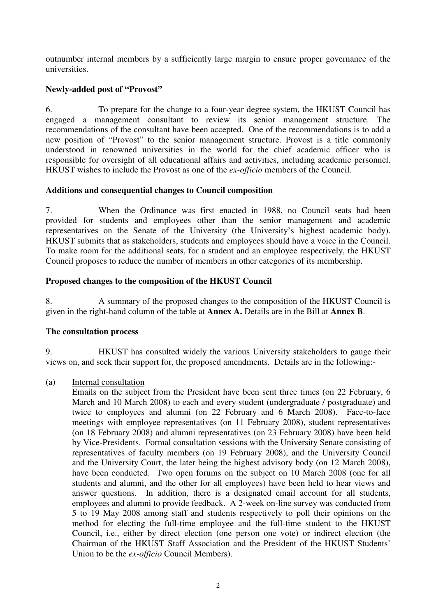outnumber internal members by a sufficiently large margin to ensure proper governance of the universities.

## **Newly-added post of "Provost"**

6. To prepare for the change to a four-year degree system, the HKUST Council has engaged a management consultant to review its senior management structure. The recommendations of the consultant have been accepted. One of the recommendations is to add a new position of "Provost" to the senior management structure. Provost is a title commonly understood in renowned universities in the world for the chief academic officer who is responsible for oversight of all educational affairs and activities, including academic personnel. HKUST wishes to include the Provost as one of the *ex-officio* members of the Council.

## **Additions and consequential changes to Council composition**

7. When the Ordinance was first enacted in 1988, no Council seats had been provided for students and employees other than the senior management and academic representatives on the Senate of the University (the University's highest academic body). HKUST submits that as stakeholders, students and employees should have a voice in the Council. To make room for the additional seats, for a student and an employee respectively, the HKUST Council proposes to reduce the number of members in other categories of its membership.

## **Proposed changes to the composition of the HKUST Council**

8. A summary of the proposed changes to the composition of the HKUST Council is given in the right-hand column of the table at **Annex A.** Details are in the Bill at **Annex B**.

## **The consultation process**

9. HKUST has consulted widely the various University stakeholders to gauge their views on, and seek their support for, the proposed amendments. Details are in the following:-

## (a) Internal consultation

Emails on the subject from the President have been sent three times (on 22 February, 6 March and 10 March 2008) to each and every student (undergraduate / postgraduate) and twice to employees and alumni (on 22 February and 6 March 2008). Face-to-face meetings with employee representatives (on 11 February 2008), student representatives (on 18 February 2008) and alumni representatives (on 23 February 2008) have been held by Vice-Presidents. Formal consultation sessions with the University Senate consisting of representatives of faculty members (on 19 February 2008), and the University Council and the University Court, the later being the highest advisory body (on 12 March 2008), have been conducted. Two open forums on the subject on 10 March 2008 (one for all students and alumni, and the other for all employees) have been held to hear views and answer questions. In addition, there is a designated email account for all students, employees and alumni to provide feedback. A 2-week on-line survey was conducted from 5 to 19 May 2008 among staff and students respectively to poll their opinions on the method for electing the full-time employee and the full-time student to the HKUST Council, i.e., either by direct election (one person one vote) or indirect election (the Chairman of the HKUST Staff Association and the President of the HKUST Students' Union to be the *ex-officio* Council Members).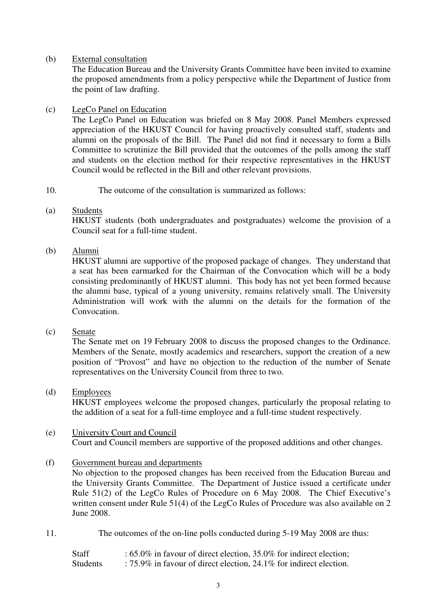## (b) External consultation

The Education Bureau and the University Grants Committee have been invited to examine the proposed amendments from a policy perspective while the Department of Justice from the point of law drafting.

## (c) LegCo Panel on Education

The LegCo Panel on Education was briefed on 8 May 2008. Panel Members expressed appreciation of the HKUST Council for having proactively consulted staff, students and alumni on the proposals of the Bill. The Panel did not find it necessary to form a Bills Committee to scrutinize the Bill provided that the outcomes of the polls among the staff and students on the election method for their respective representatives in the HKUST Council would be reflected in the Bill and other relevant provisions.

## 10. The outcome of the consultation is summarized as follows:

## (a) Students

HKUST students (both undergraduates and postgraduates) welcome the provision of a Council seat for a full-time student.

## (b) Alumni

HKUST alumni are supportive of the proposed package of changes. They understand that a seat has been earmarked for the Chairman of the Convocation which will be a body consisting predominantly of HKUST alumni. This body has not yet been formed because the alumni base, typical of a young university, remains relatively small. The University Administration will work with the alumni on the details for the formation of the Convocation.

## (c) Senate

The Senate met on 19 February 2008 to discuss the proposed changes to the Ordinance. Members of the Senate, mostly academics and researchers, support the creation of a new position of "Provost" and have no objection to the reduction of the number of Senate representatives on the University Council from three to two.

## (d) Employees

HKUST employees welcome the proposed changes, particularly the proposal relating to the addition of a seat for a full-time employee and a full-time student respectively.

## (e) University Court and Council Court and Council members are supportive of the proposed additions and other changes.

## (f) Government bureau and departments

No objection to the proposed changes has been received from the Education Bureau and the University Grants Committee. The Department of Justice issued a certificate under Rule 51(2) of the LegCo Rules of Procedure on 6 May 2008. The Chief Executive's written consent under Rule 51(4) of the LegCo Rules of Procedure was also available on 2 June 2008.

11. The outcomes of the on-line polls conducted during 5-19 May 2008 are thus:

| <b>Staff</b>    | : $65.0\%$ in favour of direct election, $35.0\%$ for indirect election; |
|-----------------|--------------------------------------------------------------------------|
| <b>Students</b> | : 75.9% in favour of direct election, 24.1% for indirect election.       |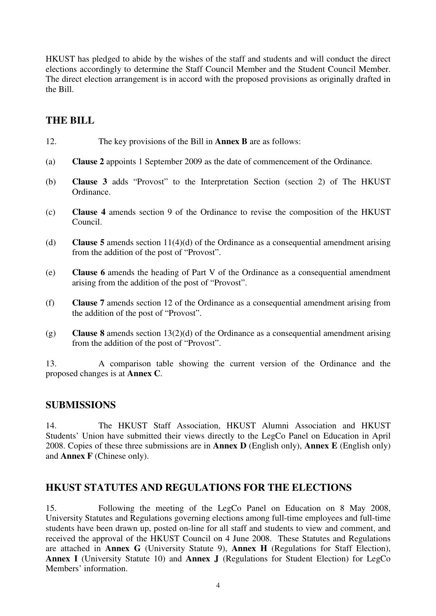HKUST has pledged to abide by the wishes of the staff and students and will conduct the direct elections accordingly to determine the Staff Council Member and the Student Council Member. The direct election arrangement is in accord with the proposed provisions as originally drafted in the Bill.

## **THE BILL**

- 12. The key provisions of the Bill in **Annex B** are as follows:
- (a) **Clause 2** appoints 1 September 2009 as the date of commencement of the Ordinance.
- (b) **Clause 3** adds "Provost" to the Interpretation Section (section 2) of The HKUST Ordinance.
- (c) **Clause 4** amends section 9 of the Ordinance to revise the composition of the HKUST Council.
- (d) **Clause 5** amends section 11(4)(d) of the Ordinance as a consequential amendment arising from the addition of the post of "Provost".
- (e) **Clause 6** amends the heading of Part V of the Ordinance as a consequential amendment arising from the addition of the post of "Provost".
- (f) **Clause 7** amends section 12 of the Ordinance as a consequential amendment arising from the addition of the post of "Provost".
- (g) **Clause 8** amends section 13(2)(d) of the Ordinance as a consequential amendment arising from the addition of the post of "Provost".

13. A comparison table showing the current version of the Ordinance and the proposed changes is at **Annex C**.

## **SUBMISSIONS**

14. The HKUST Staff Association, HKUST Alumni Association and HKUST Students' Union have submitted their views directly to the LegCo Panel on Education in April 2008. Copies of these three submissions are in **Annex D** (English only), **Annex E** (English only) and **Annex F** (Chinese only).

## **HKUST STATUTES AND REGULATIONS FOR THE ELECTIONS**

15. Following the meeting of the LegCo Panel on Education on 8 May 2008, University Statutes and Regulations governing elections among full-time employees and full-time students have been drawn up, posted on-line for all staff and students to view and comment, and received the approval of the HKUST Council on 4 June 2008. These Statutes and Regulations are attached in **Annex G** (University Statute 9), **Annex H** (Regulations for Staff Election), **Annex I** (University Statute 10) and **Annex J** (Regulations for Student Election) for LegCo Members' information.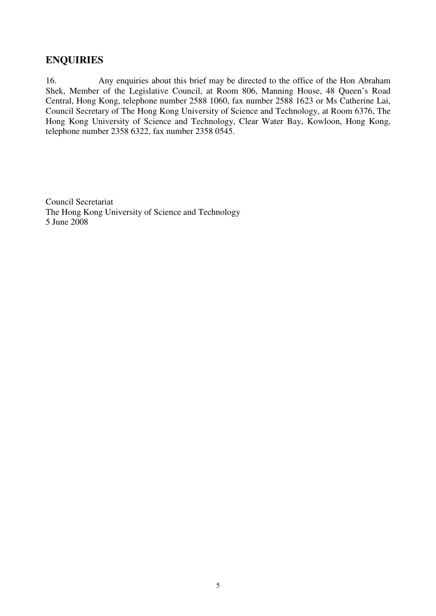## **ENQUIRIES**

16. Any enquiries about this brief may be directed to the office of the Hon Abraham Shek, Member of the Legislative Council, at Room 806, Manning House, 48 Queen's Road Central, Hong Kong, telephone number 2588 1060, fax number 2588 1623 or Ms Catherine Lai, Council Secretary of The Hong Kong University of Science and Technology, at Room 6376, The Hong Kong University of Science and Technology, Clear Water Bay, Kowloon, Hong Kong, telephone number 2358 6322, fax number 2358 0545.

Council Secretariat The Hong Kong University of Science and Technology 5 June 2008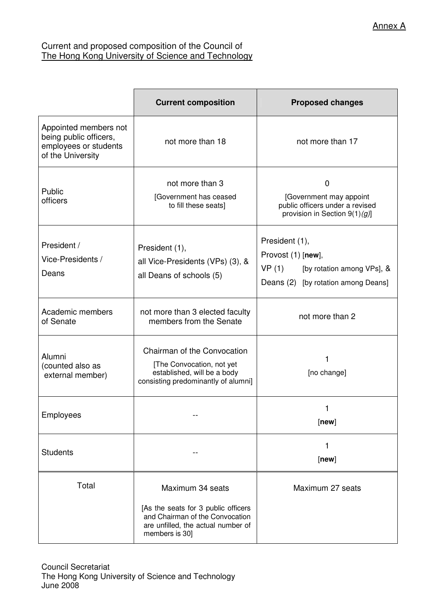## Current and proposed composition of the Council of The Hong Kong University of Science and Technology

|                                                                                               | <b>Current composition</b>                                                                                                     | <b>Proposed changes</b>                                                                                            |
|-----------------------------------------------------------------------------------------------|--------------------------------------------------------------------------------------------------------------------------------|--------------------------------------------------------------------------------------------------------------------|
| Appointed members not<br>being public officers,<br>employees or students<br>of the University | not more than 18                                                                                                               | not more than 17                                                                                                   |
| Public<br>officers                                                                            | not more than 3<br>[Government has ceased<br>to fill these seats]                                                              | 0<br>[Government may appoint<br>public officers under a revised<br>provision in Section $9(1)(g)$ ]                |
| President /<br>Vice-Presidents /<br>Deans                                                     | President (1),<br>all Vice-Presidents (VPs) (3), &<br>all Deans of schools (5)                                                 | President (1),<br>Provost (1) [new],<br>VP(1)<br>[by rotation among VPs], &<br>Deans (2) [by rotation among Deans] |
| Academic members<br>of Senate                                                                 | not more than 3 elected faculty<br>members from the Senate                                                                     | not more than 2                                                                                                    |
| Alumni<br>(counted also as<br>external member)                                                | Chairman of the Convocation<br>[The Convocation, not yet<br>established, will be a body<br>consisting predominantly of alumni] | 1<br>[no change]                                                                                                   |
| Employees                                                                                     |                                                                                                                                | 1<br>[new]                                                                                                         |
| <b>Students</b>                                                                               |                                                                                                                                | 1<br>[new]                                                                                                         |
| Total                                                                                         | Maximum 34 seats                                                                                                               | Maximum 27 seats                                                                                                   |
|                                                                                               | [As the seats for 3 public officers<br>and Chairman of the Convocation<br>are unfilled, the actual number of<br>members is 30] |                                                                                                                    |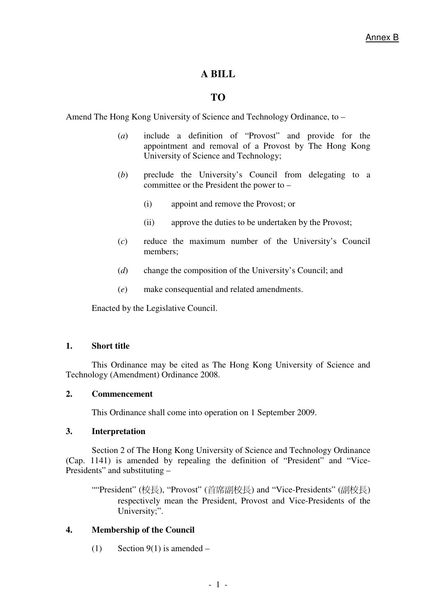## **A BILL**

## **TO**

Amend The Hong Kong University of Science and Technology Ordinance, to –

- (*a*) include a definition of "Provost" and provide for the appointment and removal of a Provost by The Hong Kong University of Science and Technology;
- (*b*) preclude the University's Council from delegating to a committee or the President the power to –
	- (i) appoint and remove the Provost; or
	- (ii) approve the duties to be undertaken by the Provost;
- (*c*) reduce the maximum number of the University's Council members;
- (*d*) change the composition of the University's Council; and
- (*e*) make consequential and related amendments.

Enacted by the Legislative Council.

## **1. Short title**

This Ordinance may be cited as The Hong Kong University of Science and Technology (Amendment) Ordinance 2008.

## **2. Commencement**

This Ordinance shall come into operation on 1 September 2009.

## **3. Interpretation**

Section 2 of The Hong Kong University of Science and Technology Ordinance (Cap. 1141) is amended by repealing the definition of "President" and "Vice-Presidents" and substituting –

""President" (校長), "Provost" (首席副校長) and "Vice-Presidents" (副校長) respectively mean the President, Provost and Vice-Presidents of the University;".

## **4. Membership of the Council**

(1) Section 9(1) is amended –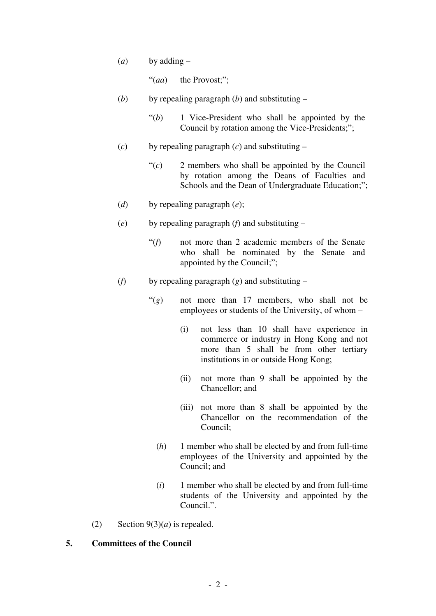(*a*) by adding –

"(*aa*) the Provost;";

- (*b*) by repealing paragraph (*b*) and substituting
	- "(*b*) 1 Vice-President who shall be appointed by the Council by rotation among the Vice-Presidents;";
- (*c*) by repealing paragraph (*c*) and substituting
	- "(*c*) 2 members who shall be appointed by the Council by rotation among the Deans of Faculties and Schools and the Dean of Undergraduate Education;";
- (*d*) by repealing paragraph (*e*);
- (*e*) by repealing paragraph (*f*) and substituting
	- "(*f*) not more than 2 academic members of the Senate who shall be nominated by the Senate and appointed by the Council;";
- (*f*) by repealing paragraph (*g*) and substituting
	- "(*g*) not more than 17 members, who shall not be employees or students of the University, of whom –
		- (i) not less than 10 shall have experience in commerce or industry in Hong Kong and not more than 5 shall be from other tertiary institutions in or outside Hong Kong;
		- (ii) not more than 9 shall be appointed by the Chancellor; and
		- (iii) not more than 8 shall be appointed by the Chancellor on the recommendation of the Council;
		- (*h*) 1 member who shall be elected by and from full-time employees of the University and appointed by the Council; and
		- (*i*) 1 member who shall be elected by and from full-time students of the University and appointed by the Council.".
- (2) Section  $9(3)(a)$  is repealed.

## **5. Committees of the Council**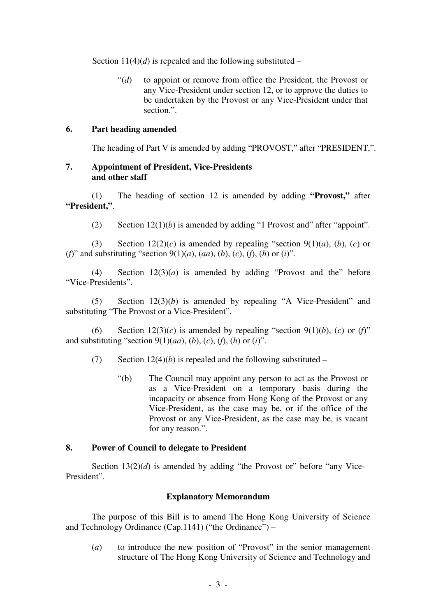Section  $11(4)(d)$  is repealed and the following substituted –

"(*d*) to appoint or remove from office the President, the Provost or any Vice-President under section 12, or to approve the duties to be undertaken by the Provost or any Vice-President under that section.".

## **6. Part heading amended**

The heading of Part V is amended by adding "PROVOST," after "PRESIDENT,".

## **7. Appointment of President, Vice-Presidents and other staff**

 (1) The heading of section 12 is amended by adding **"Provost,"** after **"President,"**.

(2) Section  $12(1)(b)$  is amended by adding "1 Provost and" after "appoint".

(3) Section  $12(2)(c)$  is amended by repealing "section  $9(1)(a)$ ,  $(b)$ ,  $(c)$  or (*f*)" and substituting "section 9(1)(*a*), (*aa*), (*b*), (*c*), (*f*), (*h*) or (*i*)".

(4) Section  $12(3)(a)$  is amended by adding "Provost and the" before "Vice-Presidents".

 (5) Section 12(3)(*b*) is amended by repealing "A Vice-President" and substituting "The Provost or a Vice-President".

(6) Section  $12(3)(c)$  is amended by repealing "section  $9(1)(b)$ , (*c*) or (*f*)" and substituting "section 9(1)(*aa*), (*b*), (*c*), (*f*), (*h*) or (*i*)".

- (7) Section  $12(4)(b)$  is repealed and the following substituted
	- "(b) The Council may appoint any person to act as the Provost or as a Vice-President on a temporary basis during the incapacity or absence from Hong Kong of the Provost or any Vice-President, as the case may be, or if the office of the Provost or any Vice-President, as the case may be, is vacant for any reason.".

## **8. Power of Council to delegate to President**

Section 13(2)(*d*) is amended by adding "the Provost or" before "any Vice-President".

## **Explanatory Memorandum**

 The purpose of this Bill is to amend The Hong Kong University of Science and Technology Ordinance (Cap.1141) ("the Ordinance") –

 (*a*) to introduce the new position of "Provost" in the senior management structure of The Hong Kong University of Science and Technology and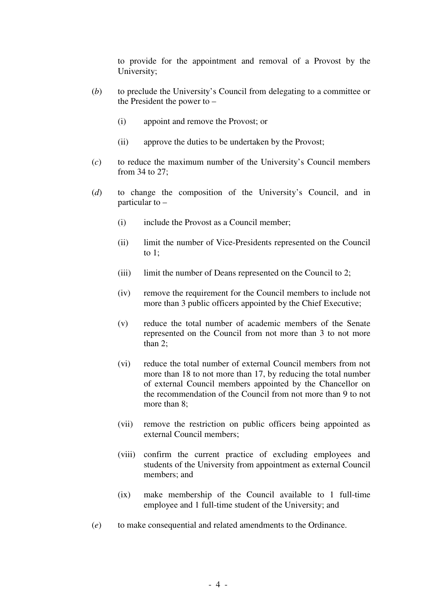to provide for the appointment and removal of a Provost by the University;

- (*b*) to preclude the University's Council from delegating to a committee or the President the power to –
	- (i) appoint and remove the Provost; or
	- (ii) approve the duties to be undertaken by the Provost;
- (*c*) to reduce the maximum number of the University's Council members from 34 to 27;
- (*d*) to change the composition of the University's Council, and in particular to –
	- (i) include the Provost as a Council member;
	- (ii) limit the number of Vice-Presidents represented on the Council to 1;
	- (iii) limit the number of Deans represented on the Council to 2;
	- (iv) remove the requirement for the Council members to include not more than 3 public officers appointed by the Chief Executive;
	- (v) reduce the total number of academic members of the Senate represented on the Council from not more than 3 to not more than 2;
	- (vi) reduce the total number of external Council members from not more than 18 to not more than 17, by reducing the total number of external Council members appointed by the Chancellor on the recommendation of the Council from not more than 9 to not more than 8;
	- (vii) remove the restriction on public officers being appointed as external Council members;
	- (viii) confirm the current practice of excluding employees and students of the University from appointment as external Council members; and
	- (ix) make membership of the Council available to 1 full-time employee and 1 full-time student of the University; and
- (*e*) to make consequential and related amendments to the Ordinance.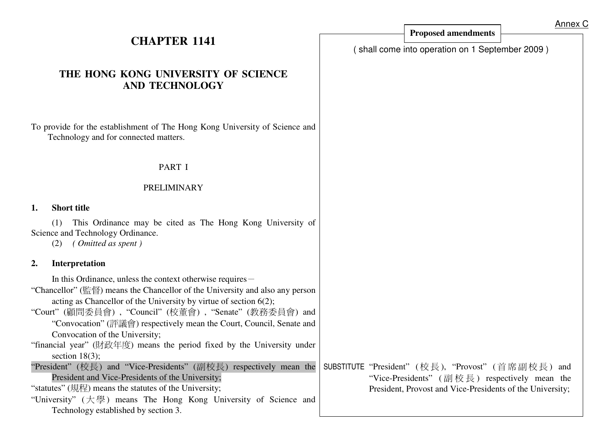|                                                                                                                                                                                                                                                                                                                                                                                                                                                                                                                                                                                                                                                                                                                                            |                                                                                                                                                                  | <u>Annex</u> |
|--------------------------------------------------------------------------------------------------------------------------------------------------------------------------------------------------------------------------------------------------------------------------------------------------------------------------------------------------------------------------------------------------------------------------------------------------------------------------------------------------------------------------------------------------------------------------------------------------------------------------------------------------------------------------------------------------------------------------------------------|------------------------------------------------------------------------------------------------------------------------------------------------------------------|--------------|
| <b>CHAPTER 1141</b>                                                                                                                                                                                                                                                                                                                                                                                                                                                                                                                                                                                                                                                                                                                        | <b>Proposed amendments</b>                                                                                                                                       |              |
|                                                                                                                                                                                                                                                                                                                                                                                                                                                                                                                                                                                                                                                                                                                                            | shall come into operation on 1 September 2009)                                                                                                                   |              |
| THE HONG KONG UNIVERSITY OF SCIENCE<br><b>AND TECHNOLOGY</b>                                                                                                                                                                                                                                                                                                                                                                                                                                                                                                                                                                                                                                                                               |                                                                                                                                                                  |              |
| To provide for the establishment of The Hong Kong University of Science and<br>Technology and for connected matters.                                                                                                                                                                                                                                                                                                                                                                                                                                                                                                                                                                                                                       |                                                                                                                                                                  |              |
| PART I                                                                                                                                                                                                                                                                                                                                                                                                                                                                                                                                                                                                                                                                                                                                     |                                                                                                                                                                  |              |
| <b>PRELIMINARY</b>                                                                                                                                                                                                                                                                                                                                                                                                                                                                                                                                                                                                                                                                                                                         |                                                                                                                                                                  |              |
| <b>Short title</b><br>1.                                                                                                                                                                                                                                                                                                                                                                                                                                                                                                                                                                                                                                                                                                                   |                                                                                                                                                                  |              |
| This Ordinance may be cited as The Hong Kong University of<br>(1)<br>Science and Technology Ordinance.<br>Omitted as spent)<br>(2)                                                                                                                                                                                                                                                                                                                                                                                                                                                                                                                                                                                                         |                                                                                                                                                                  |              |
| Interpretation<br>2.                                                                                                                                                                                                                                                                                                                                                                                                                                                                                                                                                                                                                                                                                                                       |                                                                                                                                                                  |              |
| In this Ordinance, unless the context otherwise requires -<br>"Chancellor" (監督) means the Chancellor of the University and also any person<br>acting as Chancellor of the University by virtue of section $6(2)$ ;<br>"Court" (顧問委員會), "Council" (校董會), "Senate" (教務委員會) and<br>"Convocation" (評議會) respectively mean the Court, Council, Senate and<br>Convocation of the University;<br>"financial year" (財政年度) means the period fixed by the University under<br>section $18(3)$ ;<br>President" (校長) and "Vice-Presidents" (副校長) respectively mean the<br>President and Vice-Presidents of the University;<br>"statutes" (規程) means the statutes of the University;<br>"University" (大學) means The Hong Kong University of Science and | SUBSTITUTE "President" (校長), "Provost" (首席副校長) and<br>"Vice-Presidents" (副校長) respectively mean the<br>President, Provost and Vice-Presidents of the University; |              |
| Technology established by section 3.                                                                                                                                                                                                                                                                                                                                                                                                                                                                                                                                                                                                                                                                                                       |                                                                                                                                                                  |              |

Annex C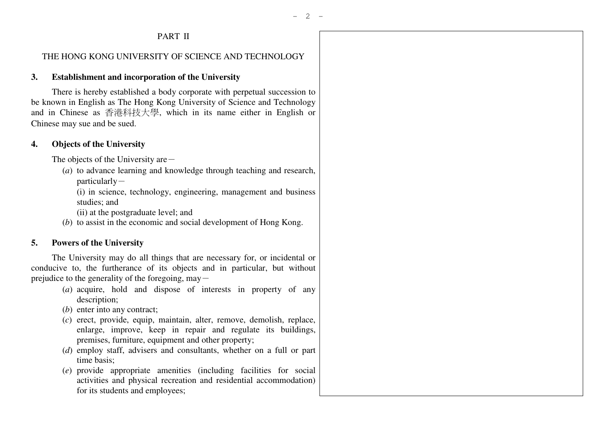# PART II

#### THE HONG KONG UNIVERSITY OF SCIENCE AND TECHNOLOGY

## **3. Establishment and incorporation of the University**

 There is hereby established a body corporate with perpetual succession to be known in English as The Hong Kong University of Science and Technology and in Chinese as 香港科技大學, which in its name either in English or Chinese may sue and be sued.

## **4. Objects of the University**

The objects of the University are  $-$ 

 (*a*) to advance learning and knowledge through teaching and research,  $particularly-$ 

 (i) in science, technology, engineering, management and business studies; and

- (ii) at the postgraduate level; and
- (*b*) to assist in the economic and social development of Hong Kong.

## **5. Powers of the University**

 The University may do all things that are necessary for, or incidental or conducive to, the furtherance of its objects and in particular, but without prejudice to the generality of the foregoing,  $may -$ 

- (*a*) acquire, hold and dispose of interests in property of any description;
- (*b*) enter into any contract;
- (*c*) erect, provide, equip, maintain, alter, remove, demolish, replace, enlarge, improve, keep in repair and regulate its buildings, premises, furniture, equipment and other property;
- (*d*) employ staff, advisers and consultants, whether on a full or part time basis;
- (*e*) provide appropriate amenities (including facilities for social activities and physical recreation and residential accommodation) for its students and employees;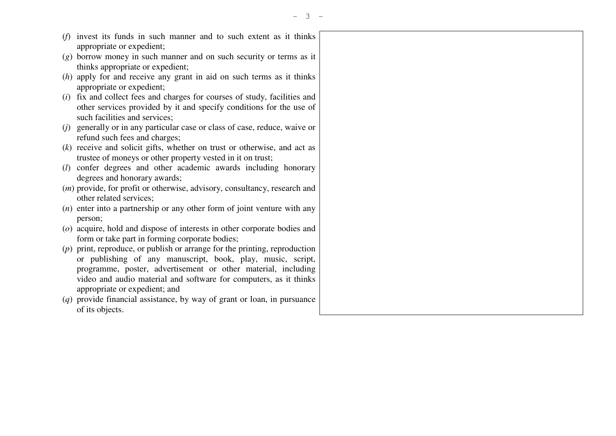- (*f*) invest its funds in such manner and to such extent as it thinks appropriate or expedient;
- (*g*) borrow money in such manner and on such security or terms as it thinks appropriate or expedient;
- (*h*) apply for and receive any grant in aid on such terms as it thinks appropriate or expedient;
- (*i*) fix and collect fees and charges for courses of study, facilities and other services provided by it and specify conditions for the use of such facilities and services;
- (*j*) generally or in any particular case or class of case, reduce, waive or refund such fees and charges;
- (*k*) receive and solicit gifts, whether on trust or otherwise, and act as trustee of moneys or other property vested in it on trust;
- (*l*) confer degrees and other academic awards including honorary degrees and honorary awards;
- (*m*) provide, for profit or otherwise, advisory, consultancy, research and other related services;
- (*n*) enter into a partnership or any other form of joint venture with any person;
- (*o*) acquire, hold and dispose of interests in other corporate bodies and form or take part in forming corporate bodies;
- (*p*) print, reproduce, or publish or arrange for the printing, reproduction or publishing of any manuscript, book, play, music, script, programme, poster, advertisement or other material, including video and audio material and software for computers, as it thinks appropriate or expedient; and
- (*q*) provide financial assistance, by way of grant or loan, in pursuance of its objects.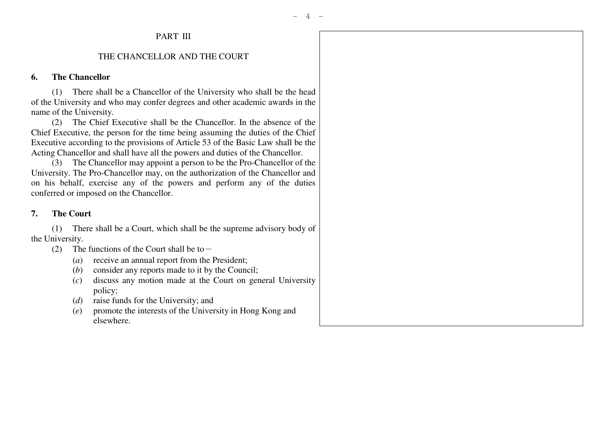# PART III

#### THE CHANCELLOR AND THE COURT

## **6. The Chancellor**

 (1) There shall be a Chancellor of the University who shall be the head of the University and who may confer degrees and other academic awards in the name of the University.

 (2) The Chief Executive shall be the Chancellor. In the absence of the Chief Executive, the person for the time being assuming the duties of the Chief Executive according to the provisions of Article 53 of the Basic Law shall be the Acting Chancellor and shall have all the powers and duties of the Chancellor.

 (3) The Chancellor may appoint a person to be the Pro-Chancellor of the University. The Pro-Chancellor may, on the authorization of the Chancellor and on his behalf, exercise any of the powers and perform any of the duties conferred or imposed on the Chancellor.

#### **7. The Court**

 (1) There shall be a Court, which shall be the supreme advisory body of the University.

- (2) The functions of the Court shall be to  $-$ 
	- (*a*) receive an annual report from the President;
- (*b*) consider any reports made to it by the Council;
- (*c*) discuss any motion made at the Court on general University policy;
- (*d*) raise funds for the University; and
- (*e*) promote the interests of the University in Hong Kong and elsewhere.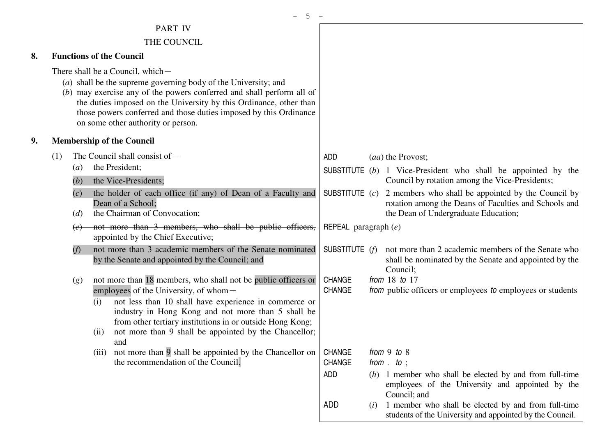|    |                                                                                                                                                                                                                                                                                                                                                               |                                                            |             | - 5                                                                                                                                                                                                                                                                                                                                                                                                                                                                                                                                                                                                                                                                                                                                                                |                                                                                                  |     |                                                                                                                                                                                                                                                                                                                                                                                                                                                                                                             |
|----|---------------------------------------------------------------------------------------------------------------------------------------------------------------------------------------------------------------------------------------------------------------------------------------------------------------------------------------------------------------|------------------------------------------------------------|-------------|--------------------------------------------------------------------------------------------------------------------------------------------------------------------------------------------------------------------------------------------------------------------------------------------------------------------------------------------------------------------------------------------------------------------------------------------------------------------------------------------------------------------------------------------------------------------------------------------------------------------------------------------------------------------------------------------------------------------------------------------------------------------|--------------------------------------------------------------------------------------------------|-----|-------------------------------------------------------------------------------------------------------------------------------------------------------------------------------------------------------------------------------------------------------------------------------------------------------------------------------------------------------------------------------------------------------------------------------------------------------------------------------------------------------------|
|    |                                                                                                                                                                                                                                                                                                                                                               |                                                            |             | <b>PART IV</b>                                                                                                                                                                                                                                                                                                                                                                                                                                                                                                                                                                                                                                                                                                                                                     |                                                                                                  |     |                                                                                                                                                                                                                                                                                                                                                                                                                                                                                                             |
|    | THE COUNCIL                                                                                                                                                                                                                                                                                                                                                   |                                                            |             |                                                                                                                                                                                                                                                                                                                                                                                                                                                                                                                                                                                                                                                                                                                                                                    |                                                                                                  |     |                                                                                                                                                                                                                                                                                                                                                                                                                                                                                                             |
| 8. |                                                                                                                                                                                                                                                                                                                                                               |                                                            |             | <b>Functions of the Council</b>                                                                                                                                                                                                                                                                                                                                                                                                                                                                                                                                                                                                                                                                                                                                    |                                                                                                  |     |                                                                                                                                                                                                                                                                                                                                                                                                                                                                                                             |
|    | There shall be a Council, which -<br>(a) shall be the supreme governing body of the University; and<br>(b) may exercise any of the powers conferred and shall perform all of<br>the duties imposed on the University by this Ordinance, other than<br>those powers conferred and those duties imposed by this Ordinance<br>on some other authority or person. |                                                            |             |                                                                                                                                                                                                                                                                                                                                                                                                                                                                                                                                                                                                                                                                                                                                                                    |                                                                                                  |     |                                                                                                                                                                                                                                                                                                                                                                                                                                                                                                             |
| 9, |                                                                                                                                                                                                                                                                                                                                                               |                                                            |             | <b>Membership of the Council</b>                                                                                                                                                                                                                                                                                                                                                                                                                                                                                                                                                                                                                                                                                                                                   |                                                                                                  |     |                                                                                                                                                                                                                                                                                                                                                                                                                                                                                                             |
|    | (1)                                                                                                                                                                                                                                                                                                                                                           | (a)<br>(b)<br>(c)<br>(d)<br>$\left(e\right)$<br>(f)<br>(g) | (i)<br>(ii) | The Council shall consist of $-$<br>the President;<br>the Vice-Presidents;<br>the holder of each office (if any) of Dean of a Faculty and<br>Dean of a School;<br>the Chairman of Convocation;<br>not more than 3 members, who shall be public officers,<br>appointed by the Chief Executive;<br>not more than 3 academic members of the Senate nominated<br>by the Senate and appointed by the Council; and<br>not more than 18 members, who shall not be public officers or<br>employees of the University, of whom-<br>not less than 10 shall have experience in commerce or<br>industry in Hong Kong and not more than 5 shall be<br>from other tertiary institutions in or outside Hong Kong;<br>not more than 9 shall be appointed by the Chancellor;<br>and | <b>ADD</b><br>SUBSTITUTE $(c)$<br>REPEAL paragraph $(e)$<br>SUBSTITUTE $(f)$<br>CHANGE<br>CHANGE |     | (aa) the Provost;<br>SUBSTITUTE $(b)$ 1 Vice-President who shall be appointed by the<br>Council by rotation among the Vice-Presidents;<br>2 members who shall be appointed by the Council by<br>rotation among the Deans of Faculties and Schools and<br>the Dean of Undergraduate Education;<br>not more than 2 academic members of the Senate who<br>shall be nominated by the Senate and appointed by the<br>Council;<br>from $18$ to $17$<br>from public officers or employees to employees or students |
|    |                                                                                                                                                                                                                                                                                                                                                               |                                                            |             | (iii) not more than 9 shall be appointed by the Chancellor on<br>the recommendation of the Council.                                                                                                                                                                                                                                                                                                                                                                                                                                                                                                                                                                                                                                                                | <b>CHANGE</b><br>CHANGE<br>ADD<br>ADD                                                            | (i) | from $9$ to $8$<br>from $\cdot$ to $\cdot$<br>$(h)$ 1 member who shall be elected by and from full-time<br>employees of the University and appointed by the<br>Council; and<br>1 member who shall be elected by and from full-time<br>students of the University and appointed by the Council.                                                                                                                                                                                                              |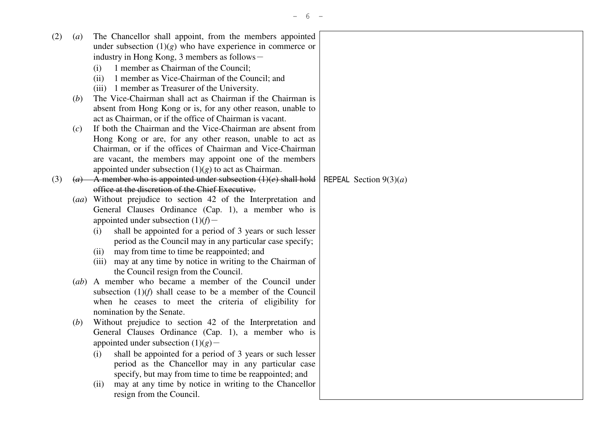| (2) | $\left( a\right)$ | The Chancellor shall appoint, from the members appointed           |                          |
|-----|-------------------|--------------------------------------------------------------------|--------------------------|
|     |                   | under subsection $(1)(g)$ who have experience in commerce or       |                          |
|     |                   | industry in Hong Kong, 3 members as follows -                      |                          |
|     |                   | 1 member as Chairman of the Council;<br>(i)                        |                          |
|     |                   | 1 member as Vice-Chairman of the Council; and<br>(ii)              |                          |
|     |                   | (iii) 1 member as Treasurer of the University.                     |                          |
|     | (b)               | The Vice-Chairman shall act as Chairman if the Chairman is         |                          |
|     |                   | absent from Hong Kong or is, for any other reason, unable to       |                          |
|     |                   | act as Chairman, or if the office of Chairman is vacant.           |                          |
|     | (c)               | If both the Chairman and the Vice-Chairman are absent from         |                          |
|     |                   | Hong Kong or are, for any other reason, unable to act as           |                          |
|     |                   | Chairman, or if the offices of Chairman and Vice-Chairman          |                          |
|     |                   | are vacant, the members may appoint one of the members             |                          |
|     |                   | appointed under subsection $(1)(g)$ to act as Chairman.            |                          |
| (3) |                   | (a) A member who is appointed under subsection $(1)(e)$ shall hold | REPEAL Section $9(3)(a)$ |
|     |                   | office at the discretion of the Chief Executive.                   |                          |
|     |                   | (aa) Without prejudice to section 42 of the Interpretation and     |                          |
|     |                   | General Clauses Ordinance (Cap. 1), a member who is                |                          |
|     |                   | appointed under subsection $(1)(f)$ -                              |                          |
|     |                   | shall be appointed for a period of 3 years or such lesser<br>(i)   |                          |
|     |                   | period as the Council may in any particular case specify;          |                          |
|     |                   | may from time to time be reappointed; and<br>(ii)                  |                          |
|     |                   | (iii) may at any time by notice in writing to the Chairman of      |                          |
|     |                   | the Council resign from the Council.                               |                          |
|     |                   | (ab) A member who became a member of the Council under             |                          |
|     |                   | subsection $(1)(f)$ shall cease to be a member of the Council      |                          |
|     |                   | when he ceases to meet the criteria of eligibility for             |                          |
|     |                   | nomination by the Senate.                                          |                          |
|     | (b)               | Without prejudice to section 42 of the Interpretation and          |                          |
|     |                   | General Clauses Ordinance (Cap. 1), a member who is                |                          |
|     |                   | appointed under subsection $(1)(g)$ –                              |                          |
|     |                   | shall be appointed for a period of 3 years or such lesser<br>(i)   |                          |
|     |                   | period as the Chancellor may in any particular case                |                          |
|     |                   | specify, but may from time to time be reappointed; and             |                          |
|     |                   | may at any time by notice in writing to the Chancellor<br>(ii)     |                          |
|     |                   | resign from the Council.                                           |                          |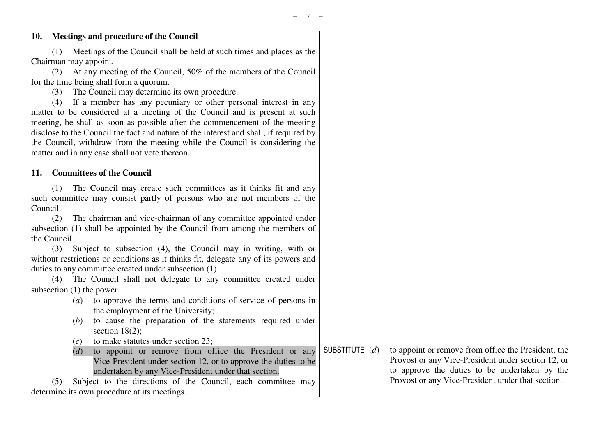## **10. Meetings and procedure of the Council**

 (1) Meetings of the Council shall be held at such times and places as the Chairman may appoint.

 (2) At any meeting of the Council, 50% of the members of the Council for the time being shall form a quorum.

(3) The Council may determine its own procedure.

 (4) If a member has any pecuniary or other personal interest in any matter to be considered at a meeting of the Council and is present at such meeting, he shall as soon as possible after the commencement of the meeting disclose to the Council the fact and nature of the interest and shall, if required by the Council, withdraw from the meeting while the Council is considering the matter and in any case shall not vote thereon.

#### **11. Committees of the Council**

 (1) The Council may create such committees as it thinks fit and any such committee may consist partly of persons who are not members of the Council.

 (2) The chairman and vice-chairman of any committee appointed under subsection (1) shall be appointed by the Council from among the members of the Council.

 (3) Subject to subsection (4), the Council may in writing, with or without restrictions or conditions as it thinks fit, delegate any of its powers and duties to any committee created under subsection (1).

 (4) The Council shall not delegate to any committee created under subsection  $(1)$  the power-

- (*a*) to approve the terms and conditions of service of persons in the employment of the University;
- (*b*) to cause the preparation of the statements required under section 18(2):
- (*c*) to make statutes under section 23;
- (*d*) to appoint or remove from office the President or any Vice-President under section 12, or to approve the duties to be undertaken by any Vice-President under that section.

 (5) Subject to the directions of the Council, each committee may determine its own procedure at its meetings.

SUBSTITUTE (*d*) to appoint or remove from office the President, the Provost or any Vice-President under section 12, or to approve the duties to be undertaken by the Provost or any Vice-President under that section.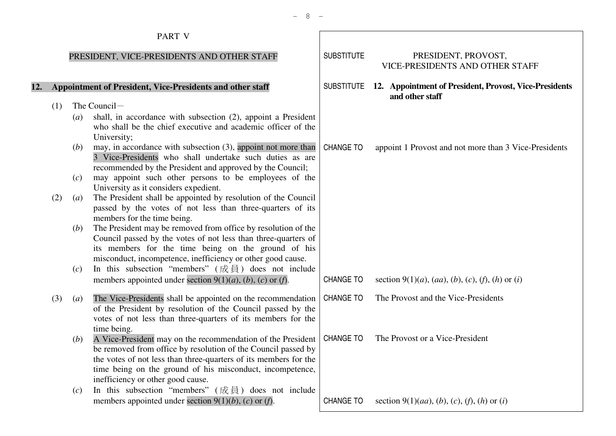# PART <sup>V</sup>

## PRESIDENT, VICE-PRESIDENTS AND OTHER STAFF

## **12. Appointment of President, Vice-Presidents and other staff**

- $(1)$  The Council -
- (*a*) shall, in accordance with subsection (2), appoint a President who shall be the chief executive and academic officer of the University; (*b*) may, in accordance with subsection (3), appoint not more than
	- 3 Vice-Presidents who shall undertake such duties as are recommended by the President and approved by the Council;
- (*c*) may appoint such other persons to be employees of the University as it considers expedient.
- (2) (*a*) The President shall be appointed by resolution of the Council passed by the votes of not less than three-quarters of its members for the time being.
- (*b*) The President may be removed from office by resolution of the Council passed by the votes of not less than three-quarters of its members for the time being on the ground of hismisconduct, incompetence, inefficiency or other good cause.
- (*c*) In this subsection "members" ( $\overrightarrow{R}$ ) does not include<br>members appointed under section  $\theta(1)(a)$  (*b*) (*c*) or (*f*) members appointed under section 9(1)(*a*), (*b*), (*c*) or (*f*).
	- (3) (*a*) The Vice-Presidents shall be appointed on the recommendation of the President by resolution of the Council passed by the votes of not less than three-quarters of its members for the time being.
- (*b*) A Vice-President may on the recommendation of the President be removed from office by resolution of the Council passed by the votes of not less than three-quarters of its members for the time being on the ground of his misconduct, incompetence, inefficiency or other good cause.
- (*c*) In this subsection "members" ( $\overrightarrow{R}$ ) does not include<br>members appointed under section 9(1)(*b*) (*c*) or (*f*) members appointed under section 9(1)(*b*), (*c*) or (*f*).

| <b>SUBSTITUTE</b> | PRESIDENT, PROVOST,<br><b>VICE-PRESIDENTS AND OTHER STAFF</b>                                                   |
|-------------------|-----------------------------------------------------------------------------------------------------------------|
| <b>SUBSTITUTE</b> | 12. Appointment of President, Provost, Vice-Presidents<br>and other staff                                       |
| CHANGE TO         | appoint 1 Provost and not more than 3 Vice-Presidents                                                           |
|                   |                                                                                                                 |
|                   |                                                                                                                 |
|                   |                                                                                                                 |
| <b>CHANGE TO</b>  | section 9(1)( <i>a</i> ), ( <i>aa</i> ), ( <i>b</i> ), ( <i>c</i> ), ( <i>f</i> ), ( <i>h</i> ) or ( <i>i</i> ) |
| <b>CHANGE TO</b>  | The Provost and the Vice-Presidents                                                                             |
| <b>CHANGE TO</b>  | The Provost or a Vice-President                                                                                 |
| <b>CHANGE TO</b>  | section 9(1)( <i>aa</i> ), ( <i>b</i> ), ( <i>c</i> ), ( <i>f</i> ), ( <i>h</i> ) or ( <i>i</i> )               |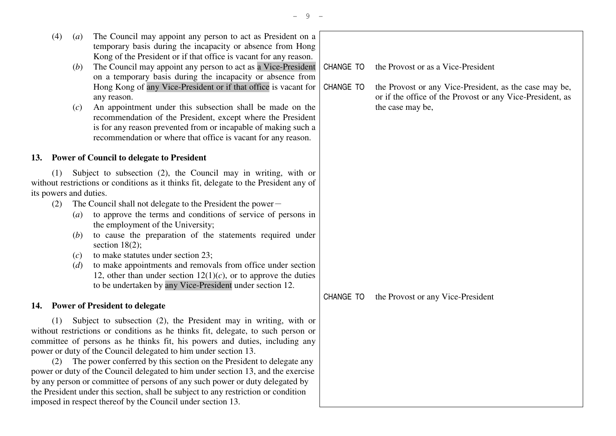- (4) (*a*) The Council may appoint any person to act as President on a temporary basis during the incapacity or absence from Hong Kong of the President or if that office is vacant for any reason.
- (*b*) The Council may appoint any person to act as a Vice-President on a temporary basis during the incapacity or absence from Hong Kong of any Vice-President or if that office is vacant for any reason.
- (*c*) An appointment under this subsection shall be made on the recommendation of the President, except where the President is for any reason prevented from or incapable of making such a recommendation or where that office is vacant for any reason.

## **13. Power of Council to delegate to President**

 (1) Subject to subsection (2), the Council may in writing, with or without restrictions or conditions as it thinks fit, delegate to the President any of its powers and duties.

- (2) The Council shall not delegate to the President the power-
	- (*a*) to approve the terms and conditions of service of persons in the employment of the University;
- (*b*) to cause the preparation of the statements required under section 18(2):
- (*c*) to make statutes under section 23;
- (*d*) to make appointments and removals from office under section 12, other than under section  $12(1)(c)$ , or to approve the duties to be undertaken by any Vice-President under section 12.

## **14. Power of President to delegate**

 (1) Subject to subsection (2), the President may in writing, with or without restrictions or conditions as he thinks fit, delegate, to such person or committee of persons as he thinks fit, his powers and duties, including any power or duty of the Council delegated to him under section 13.

 (2) The power conferred by this section on the President to delegate any power or duty of the Council delegated to him under section 13, and the exercise by any person or committee of persons of any such power or duty delegated by the President under this section, shall be subject to any restriction or condition imposed in respect thereof by the Council under section 13.

| CHANGE TO the Provost or as a Vice-President |  |
|----------------------------------------------|--|
|                                              |  |

CHANGE TO the Provost or any Vice-President, as the case may be, or if the office of the Provost or any Vice-President, as the case may be,

CHANGE TO the Provost or any Vice-President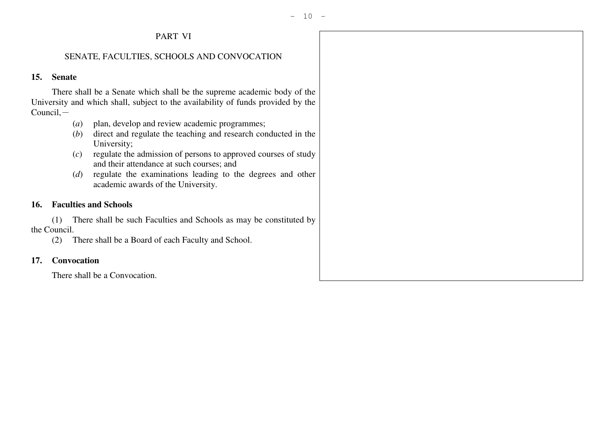# PART VI

## SENATE, FACULTIES, SCHOOLS AND CONVOCATION

## **15. Senate**

 There shall be a Senate which shall be the supreme academic body of the University and which shall, subject to the availability of funds provided by the  $Count.$ 

- (*a*) plan, develop and review academic programmes;
- (*b*) direct and regulate the teaching and research conducted in the University;
- (*c*) regulate the admission of persons to approved courses of study and their attendance at such courses; and
- (*d*) regulate the examinations leading to the degrees and other academic awards of the University.

## **16. Faculties and Schools**

 (1) There shall be such Faculties and Schools as may be constituted by the Council.

(2) There shall be a Board of each Faculty and School.

## **17. Convocation**

There shall be a Convocation.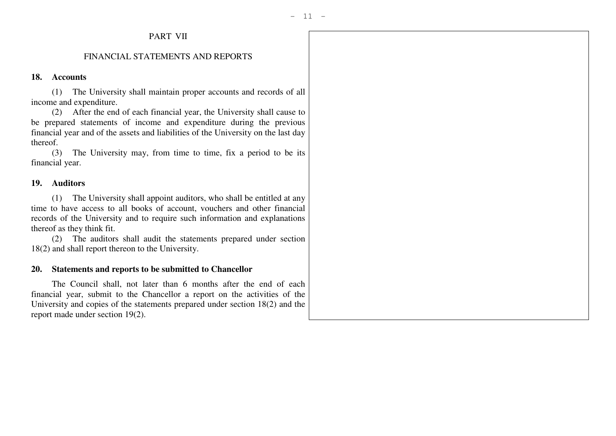# PART VII

## FINANCIAL STATEMENTS AND REPORTS

#### **18. Accounts**

 (1) The University shall maintain proper accounts and records of all income and expenditure.

 (2) After the end of each financial year, the University shall cause to be prepared statements of income and expenditure during the previous financial year and of the assets and liabilities of the University on the last day thereof.

 (3) The University may, from time to time, fix a period to be its financial year.

#### **19. Auditors**

 (1) The University shall appoint auditors, who shall be entitled at any time to have access to all books of account, vouchers and other financial records of the University and to require such information and explanations thereof as they think fit.

 (2) The auditors shall audit the statements prepared under section 18(2) and shall report thereon to the University.

#### **20. Statements and reports to be submitted to Chancellor**

 The Council shall, not later than 6 months after the end of each financial year, submit to the Chancellor a report on the activities of the University and copies of the statements prepared under section 18(2) and the report made under section 19(2).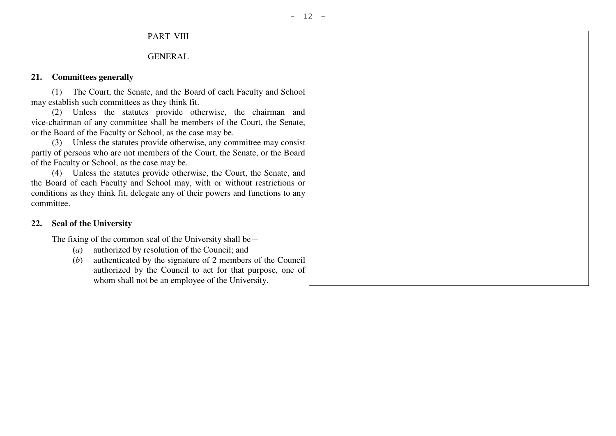# PART VIII

## GENERAL

## **21. Committees generally**

 (1) The Court, the Senate, and the Board of each Faculty and School may establish such committees as they think fit.

 (2) Unless the statutes provide otherwise, the chairman and vice-chairman of any committee shall be members of the Court, the Senate, or the Board of the Faculty or School, as the case may be.

 (3) Unless the statutes provide otherwise, any committee may consist partly of persons who are not members of the Court, the Senate, or the Board of the Faculty or School, as the case may be.

 (4) Unless the statutes provide otherwise, the Court, the Senate, and the Board of each Faculty and School may, with or without restrictions or conditions as they think fit, delegate any of their powers and functions to any committee.

## **22. Seal of the University**

The fixing of the common seal of the University shall be $-$ 

- (*a*) authorized by resolution of the Council; and
- (*b*) authenticated by the signature of 2 members of the Council authorized by the Council to act for that purpose, one of whom shall not be an employee of the University.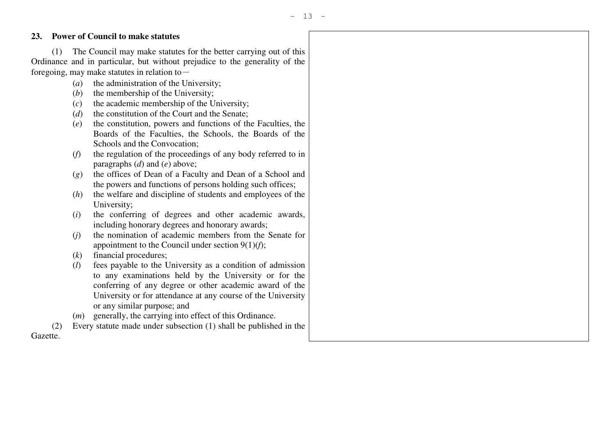## **23. Power of Council to make statutes**

 (1) The Council may make statutes for the better carrying out of this Ordinance and in particular, but without prejudice to the generality of the foregoing, may make statutes in relation to  $-$ 

- (*a*) the administration of the University;
- (*b*) the membership of the University;
- (*c*) the academic membership of the University;
	- (*d*) the constitution of the Court and the Senate;
- (*e*) the constitution, powers and functions of the Faculties, the Boards of the Faculties, the Schools, the Boards of the Schools and the Convocation;
- (*f*) the regulation of the proceedings of any body referred to in paragraphs (*d*) and (*e*) above;
- (*g*) the offices of Dean of a Faculty and Dean of a School and the powers and functions of persons holding such offices;
- (*h*) the welfare and discipline of students and employees of the University;
- (*i*) the conferring of degrees and other academic awards, including honorary degrees and honorary awards;
- (*j*) the nomination of academic members from the Senate for appointment to the Council under section 9(1)(*f*);
	- (*k*) financial procedures;
- (*l*) fees payable to the University as a condition of admission to any examinations held by the University or for the conferring of any degree or other academic award of the University or for attendance at any course of the University or any similar purpose; and
- (*m*) generally, the carrying into effect of this Ordinance.
- (2) Every statute made under subsection (1) shall be published in the Gazette.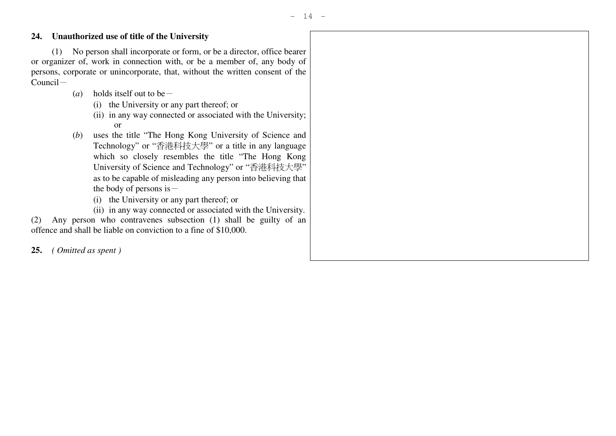## **24. Unauthorized use of title of the University**

 (1) No person shall incorporate or form, or be a director, office bearer or organizer of, work in connection with, or be a member of, any body of persons, corporate or unincorporate, that, without the written consent of the  $Count =$ 

- (*a*) holds itself out to be  $-$ 
	- (i) the University or any part thereof; or
- (ii) in any way connected or associated with the University; or
- (*b*) uses the title "The Hong Kong University of Science and Technology" or "香港科技大學" or a title in any language which so closely resembles the title "The Hong Kong University of Science and Technology" or "香港科技大學" as to be capable of misleading any person into believing that the body of persons is  $-$ 
	- (i) the University or any part thereof; or
- (ii) in any way connected or associated with the University.

 (2) Any person who contravenes subsection (1) shall be guilty of an offence and shall be liable on conviction to a fine of \$10,000.

**25.** *( Omitted as spent )*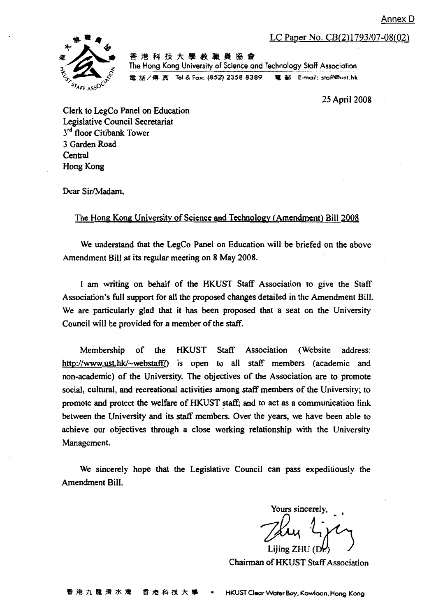Annex D

LC Paper No. CB(2)1793/07-08(02)



香港科技大學教職員協會 The Hong Kong University of Science and Technology Staff Association 電話/傳真 Tel & Fax: (852) 2358 8389 電 郵 E-mail: staff@ust.hk

25 April 2008

Clerk to LegCo Panel on Education Legislative Council Secretariat 3<sup>rd</sup> floor Citibank Tower 3 Garden Road Central Hong Kong

Dear Sir/Madam.

#### The Hong Kong University of Science and Technology (Amendment) Bill 2008

We understand that the LegCo Panel on Education will be briefed on the above Amendment Bill at its regular meeting on 8 May 2008.

I am writing on behalf of the HKUST Staff Association to give the Staff Association's full support for all the proposed changes detailed in the Amendment Bill. We are particularly glad that it has been proposed that a seat on the University Council will be provided for a member of the staff.

Staff Association Membership the **HKUST** (Website) address: of http://www.ust.hk/~webstaff/) is open to all staff members (academic and non-academic) of the University. The objectives of the Association are to promote social, cultural, and recreational activities among staff members of the University; to promote and protect the welfare of HKUST staff; and to act as a communication link between the University and its staff members. Over the years, we have been able to achieve our objectives through a close working relationship with the University Management.

We sincerely hope that the Legislative Council can pass expeditiously the Amendment Bill.

Yours sincerely. Lijing ZHU

Chairman of HKUST Staff Association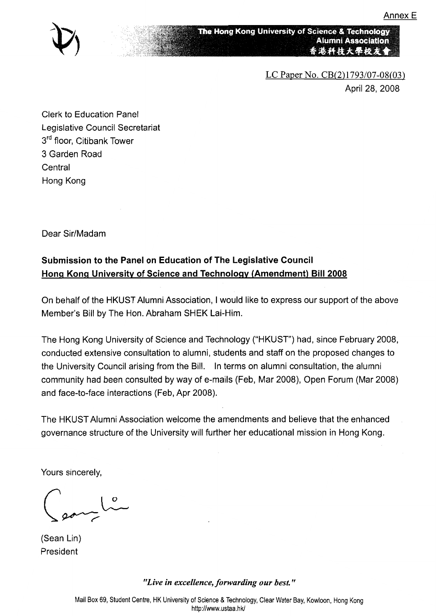

The Hong Kong University of Science & Technology **Alumni Association** 香港科技大學校友會

> LC Paper No.  $CB(2)1793/07-08(03)$ April 28, 2008

**Clerk to Education Panel** Legislative Council Secretariat 3rd floor, Citibank Tower 3 Garden Road Central Hong Kong

Dear Sir/Madam

# Submission to the Panel on Education of The Legislative Council Hong Kong University of Science and Technology (Amendment) Bill 2008

On behalf of the HKUST Alumni Association, I would like to express our support of the above Member's Bill by The Hon. Abraham SHEK Lai-Him.

The Hong Kong University of Science and Technology ("HKUST") had, since February 2008, conducted extensive consultation to alumni, students and staff on the proposed changes to the University Council arising from the Bill. In terms on alumni consultation, the alumni community had been consulted by way of e-mails (Feb, Mar 2008), Open Forum (Mar 2008) and face-to-face interactions (Feb, Apr 2008).

The HKUST Alumni Association welcome the amendments and believe that the enhanced governance structure of the University will further her educational mission in Hong Kong.

Yours sincerely,

 $\sim$ 

(Sean Lin) President

"Live in excellence, forwarding our best."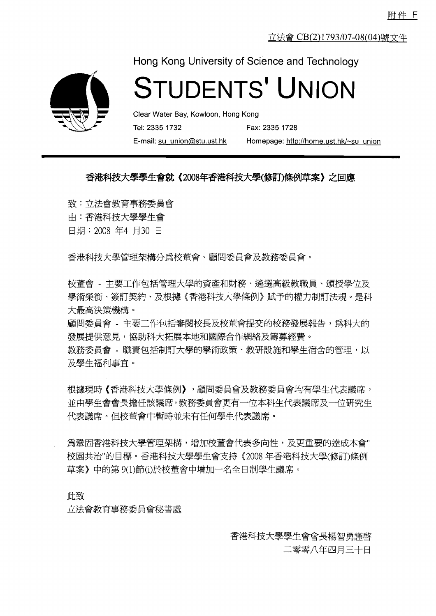立法會 CB(2)1793/07-08(04)號文件



Hong Kong University of Science and Technology

# **STUDENTS' UNION**

Clear Water Bay, Kowloon, Hong Kong Tel: 2335 1732 Fax: 2335 1728 E-mail: su union@stu.ust.hk

Homepage: http://home.ust.hk/~su\_union

## 香港科技大學學生會就《2008年香港科技大學(修訂)條例草案》之回應

致:立法會教育事務委員會

由:香港科技大學學生會

日期: 2008 年4 月30 日

香港科技大學管理架構分爲校董會、顧問委員會及教務委員會。

校董會 - 主要工作包括管理大學的資產和財務、遴選高級教職員、頒授學位及 學術榮銜、簽訂契約、及根據《香港科技大學條例》賦予的權力制訂法規。是科 大最高決策機構。

顧問委員會 - 主要工作包括審閱校長及校董會提交的校務發展報告,爲科大的 發展提供意見,協助科大拓展本地和國際合作網絡及籌募經費。

教務委員會 - 職責包括制訂大學的學術政策、教研設施和學生宿舍的管理,以 及學生福利事官。

根據現時《香港科技大學條例》,顧問委員會及教務委員會均有學生代表議席, 並由學生會會長擔任該議席,教務委員會更有一位本科生代表議席及一位研究生 代表議席。但校董會中暫時並未有任何學生代表議席。

為鞏固香港科技大學管理架構,增加校董會代表多向性,及更重要的達成本會" 校園共治"的目標。香港科技大學學生會支持《2008年香港科技大學(修訂)條例 草案》中的第9(1)節(i)於校董會中增加一名全日制學生議席。

此致

立法會教育事務委員會秘書處

香港科技大學學生會會長楊智勇謹啓

二零零八年四月三十日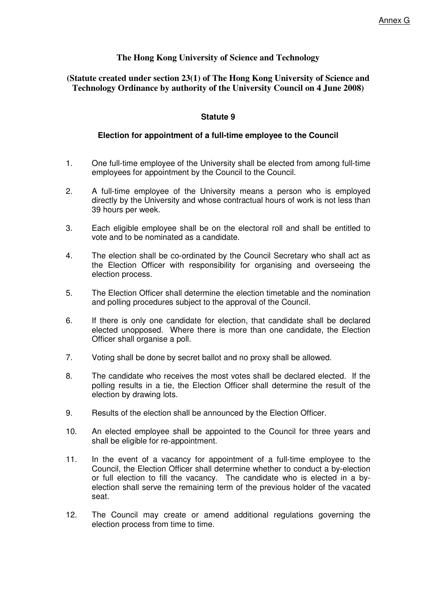## **The Hong Kong University of Science and Technology**

## **(Statute created under section 23(1) of The Hong Kong University of Science and Technology Ordinance by authority of the University Council on 4 June 2008)**

#### **Statute 9**

#### **Election for appointment of a full-time employee to the Council**

- 1. One full-time employee of the University shall be elected from among full-time employees for appointment by the Council to the Council.
- 2. A full-time employee of the University means a person who is employed directly by the University and whose contractual hours of work is not less than 39 hours per week.
- 3. Each eligible employee shall be on the electoral roll and shall be entitled to vote and to be nominated as a candidate.
- 4. The election shall be co-ordinated by the Council Secretary who shall act as the Election Officer with responsibility for organising and overseeing the election process.
- 5. The Election Officer shall determine the election timetable and the nomination and polling procedures subject to the approval of the Council.
- 6. If there is only one candidate for election, that candidate shall be declared elected unopposed. Where there is more than one candidate, the Election Officer shall organise a poll.
- 7. Voting shall be done by secret ballot and no proxy shall be allowed.
- 8. The candidate who receives the most votes shall be declared elected. If the polling results in a tie, the Election Officer shall determine the result of the election by drawing lots.
- 9. Results of the election shall be announced by the Election Officer.
- 10. An elected employee shall be appointed to the Council for three years and shall be eligible for re-appointment.
- 11. In the event of a vacancy for appointment of a full-time employee to the Council, the Election Officer shall determine whether to conduct a by-election or full election to fill the vacancy. The candidate who is elected in a byelection shall serve the remaining term of the previous holder of the vacated seat.
- 12. The Council may create or amend additional regulations governing the election process from time to time.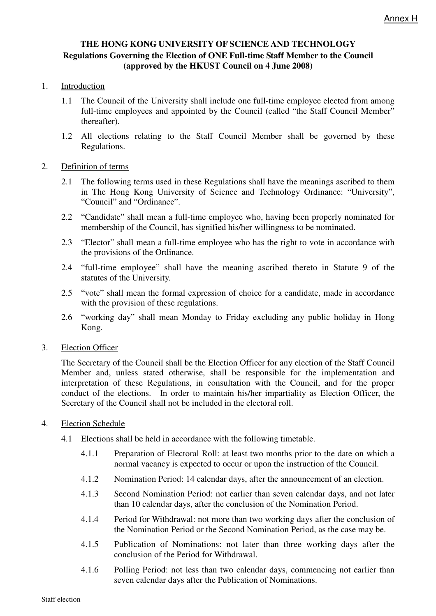## **THE HONG KONG UNIVERSITY OF SCIENCE AND TECHNOLOGY Regulations Governing the Election of ONE Full-time Staff Member to the Council (approved by the HKUST Council on 4 June 2008)**

## 1. Introduction

- 1.1 The Council of the University shall include one full-time employee elected from among full-time employees and appointed by the Council (called "the Staff Council Member" thereafter).
- 1.2 All elections relating to the Staff Council Member shall be governed by these Regulations.

## 2. Definition of terms

- 2.1 The following terms used in these Regulations shall have the meanings ascribed to them in The Hong Kong University of Science and Technology Ordinance: "University", "Council" and "Ordinance".
- 2.2 "Candidate" shall mean a full-time employee who, having been properly nominated for membership of the Council, has signified his/her willingness to be nominated.
- 2.3 "Elector" shall mean a full-time employee who has the right to vote in accordance with the provisions of the Ordinance.
- 2.4 "full-time employee" shall have the meaning ascribed thereto in Statute 9 of the statutes of the University.
- 2.5 "vote" shall mean the formal expression of choice for a candidate, made in accordance with the provision of these regulations.
- 2.6 "working day" shall mean Monday to Friday excluding any public holiday in Hong Kong.

## 3. Election Officer

The Secretary of the Council shall be the Election Officer for any election of the Staff Council Member and, unless stated otherwise, shall be responsible for the implementation and interpretation of these Regulations, in consultation with the Council, and for the proper conduct of the elections. In order to maintain his/her impartiality as Election Officer, the Secretary of the Council shall not be included in the electoral roll.

## 4. Election Schedule

- 4.1 Elections shall be held in accordance with the following timetable.
	- 4.1.1 Preparation of Electoral Roll: at least two months prior to the date on which a normal vacancy is expected to occur or upon the instruction of the Council.
	- 4.1.2 Nomination Period: 14 calendar days, after the announcement of an election.
	- 4.1.3 Second Nomination Period: not earlier than seven calendar days, and not later than 10 calendar days, after the conclusion of the Nomination Period.
	- 4.1.4 Period for Withdrawal: not more than two working days after the conclusion of the Nomination Period or the Second Nomination Period, as the case may be.
	- 4.1.5 Publication of Nominations: not later than three working days after the conclusion of the Period for Withdrawal.
	- 4.1.6 Polling Period: not less than two calendar days, commencing not earlier than seven calendar days after the Publication of Nominations.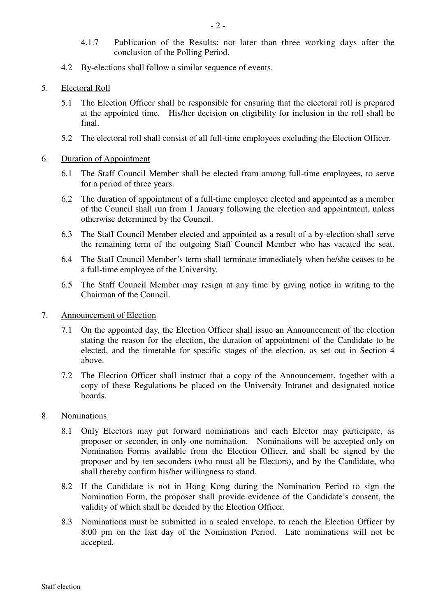- 4.1.7 Publication of the Results: not later than three working days after the conclusion of the Polling Period.
- 4.2 By-elections shall follow a similar sequence of events.
- 5. Electoral Roll
	- 5.1 The Election Officer shall be responsible for ensuring that the electoral roll is prepared at the appointed time. His/her decision on eligibility for inclusion in the roll shall be final.
	- 5.2 The electoral roll shall consist of all full-time employees excluding the Election Officer.
- 6. Duration of Appointment
	- 6.1 The Staff Council Member shall be elected from among full-time employees, to serve for a period of three years.
	- 6.2 The duration of appointment of a full-time employee elected and appointed as a member of the Council shall run from 1 January following the election and appointment, unless otherwise determined by the Council.
	- 6.3 The Staff Council Member elected and appointed as a result of a by-election shall serve the remaining term of the outgoing Staff Council Member who has vacated the seat.
	- 6.4 The Staff Council Member's term shall terminate immediately when he/she ceases to be a full-time employee of the University.
	- 6.5 The Staff Council Member may resign at any time by giving notice in writing to the Chairman of the Council.
- 7. Announcement of Election
	- 7.1 On the appointed day, the Election Officer shall issue an Announcement of the election stating the reason for the election, the duration of appointment of the Candidate to be elected, and the timetable for specific stages of the election, as set out in Section 4 above.
	- 7.2 The Election Officer shall instruct that a copy of the Announcement, together with a copy of these Regulations be placed on the University Intranet and designated notice boards.
- 8. Nominations
	- 8.1 Only Electors may put forward nominations and each Elector may participate, as proposer or seconder, in only one nomination. Nominations will be accepted only on Nomination Forms available from the Election Officer, and shall be signed by the proposer and by ten seconders (who must all be Electors), and by the Candidate, who shall thereby confirm his/her willingness to stand.
	- 8.2 If the Candidate is not in Hong Kong during the Nomination Period to sign the Nomination Form, the proposer shall provide evidence of the Candidate's consent, the validity of which shall be decided by the Election Officer.
	- 8.3 Nominations must be submitted in a sealed envelope, to reach the Election Officer by 8:00 pm on the last day of the Nomination Period. Late nominations will not be accepted.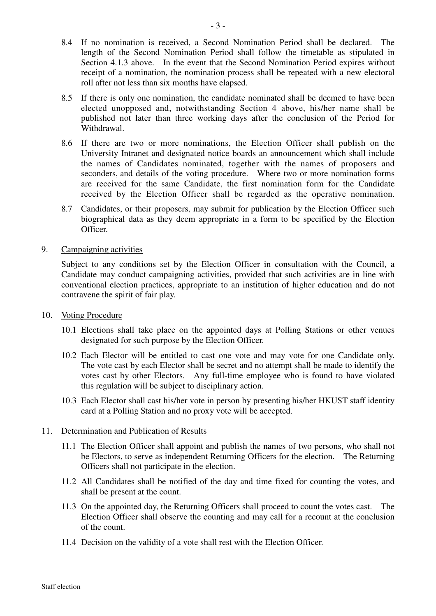- 8.4 If no nomination is received, a Second Nomination Period shall be declared. The length of the Second Nomination Period shall follow the timetable as stipulated in Section 4.1.3 above. In the event that the Second Nomination Period expires without receipt of a nomination, the nomination process shall be repeated with a new electoral roll after not less than six months have elapsed.
- 8.5 If there is only one nomination, the candidate nominated shall be deemed to have been elected unopposed and, notwithstanding Section 4 above, his/her name shall be published not later than three working days after the conclusion of the Period for Withdrawal.
- 8.6 If there are two or more nominations, the Election Officer shall publish on the University Intranet and designated notice boards an announcement which shall include the names of Candidates nominated, together with the names of proposers and seconders, and details of the voting procedure. Where two or more nomination forms are received for the same Candidate, the first nomination form for the Candidate received by the Election Officer shall be regarded as the operative nomination.
- 8.7 Candidates, or their proposers, may submit for publication by the Election Officer such biographical data as they deem appropriate in a form to be specified by the Election Officer.
- 9. Campaigning activities

Subject to any conditions set by the Election Officer in consultation with the Council, a Candidate may conduct campaigning activities, provided that such activities are in line with conventional election practices, appropriate to an institution of higher education and do not contravene the spirit of fair play.

- 10. Voting Procedure
	- 10.1 Elections shall take place on the appointed days at Polling Stations or other venues designated for such purpose by the Election Officer.
	- 10.2 Each Elector will be entitled to cast one vote and may vote for one Candidate only. The vote cast by each Elector shall be secret and no attempt shall be made to identify the votes cast by other Electors. Any full-time employee who is found to have violated this regulation will be subject to disciplinary action.
	- 10.3 Each Elector shall cast his/her vote in person by presenting his/her HKUST staff identity card at a Polling Station and no proxy vote will be accepted.

#### 11. Determination and Publication of Results

- 11.1 The Election Officer shall appoint and publish the names of two persons, who shall not be Electors, to serve as independent Returning Officers for the election. The Returning Officers shall not participate in the election.
- 11.2 All Candidates shall be notified of the day and time fixed for counting the votes, and shall be present at the count.
- 11.3 On the appointed day, the Returning Officers shall proceed to count the votes cast. The Election Officer shall observe the counting and may call for a recount at the conclusion of the count.
- 11.4 Decision on the validity of a vote shall rest with the Election Officer.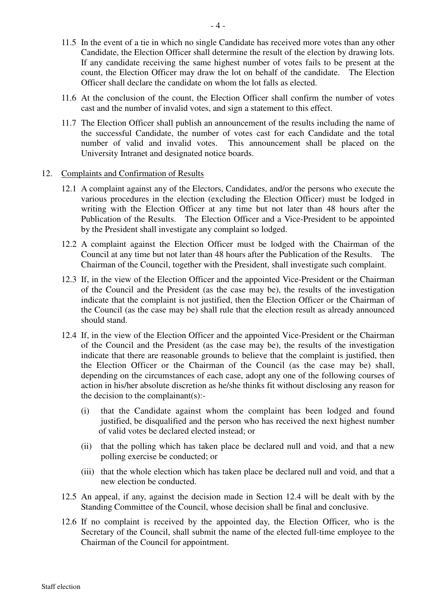- 11.5 In the event of a tie in which no single Candidate has received more votes than any other Candidate, the Election Officer shall determine the result of the election by drawing lots. If any candidate receiving the same highest number of votes fails to be present at the count, the Election Officer may draw the lot on behalf of the candidate. The Election Officer shall declare the candidate on whom the lot falls as elected.
- 11.6 At the conclusion of the count, the Election Officer shall confirm the number of votes cast and the number of invalid votes, and sign a statement to this effect.
- 11.7 The Election Officer shall publish an announcement of the results including the name of the successful Candidate, the number of votes cast for each Candidate and the total number of valid and invalid votes. This announcement shall be placed on the University Intranet and designated notice boards.

#### 12. Complaints and Confirmation of Results

- 12.1 A complaint against any of the Electors, Candidates, and/or the persons who execute the various procedures in the election (excluding the Election Officer) must be lodged in writing with the Election Officer at any time but not later than 48 hours after the Publication of the Results. The Election Officer and a Vice-President to be appointed by the President shall investigate any complaint so lodged.
- 12.2 A complaint against the Election Officer must be lodged with the Chairman of the Council at any time but not later than 48 hours after the Publication of the Results. The Chairman of the Council, together with the President, shall investigate such complaint.
- 12.3 If, in the view of the Election Officer and the appointed Vice-President or the Chairman of the Council and the President (as the case may be), the results of the investigation indicate that the complaint is not justified, then the Election Officer or the Chairman of the Council (as the case may be) shall rule that the election result as already announced should stand.
- 12.4 If, in the view of the Election Officer and the appointed Vice-President or the Chairman of the Council and the President (as the case may be), the results of the investigation indicate that there are reasonable grounds to believe that the complaint is justified, then the Election Officer or the Chairman of the Council (as the case may be) shall, depending on the circumstances of each case, adopt any one of the following courses of action in his/her absolute discretion as he/she thinks fit without disclosing any reason for the decision to the complainant(s):-
	- (i) that the Candidate against whom the complaint has been lodged and found justified, be disqualified and the person who has received the next highest number of valid votes be declared elected instead; or
	- (ii) that the polling which has taken place be declared null and void, and that a new polling exercise be conducted; or
	- (iii) that the whole election which has taken place be declared null and void, and that a new election be conducted.
- 12.5 An appeal, if any, against the decision made in Section 12.4 will be dealt with by the Standing Committee of the Council, whose decision shall be final and conclusive.
- 12.6 If no complaint is received by the appointed day, the Election Officer, who is the Secretary of the Council, shall submit the name of the elected full-time employee to the Chairman of the Council for appointment.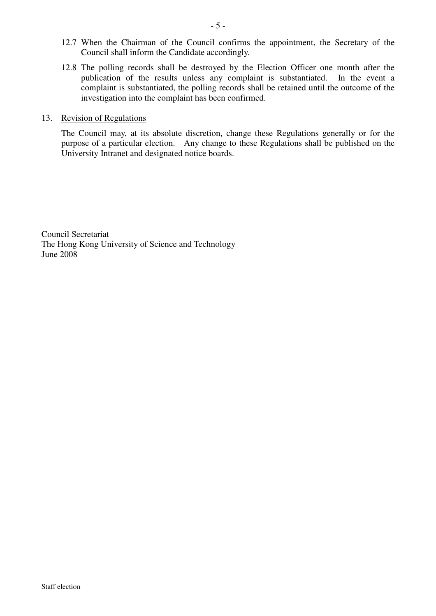- 12.7 When the Chairman of the Council confirms the appointment, the Secretary of the Council shall inform the Candidate accordingly.
- 12.8 The polling records shall be destroyed by the Election Officer one month after the publication of the results unless any complaint is substantiated. In the event a complaint is substantiated, the polling records shall be retained until the outcome of the investigation into the complaint has been confirmed.

#### 13. Revision of Regulations

The Council may, at its absolute discretion, change these Regulations generally or for the purpose of a particular election. Any change to these Regulations shall be published on the University Intranet and designated notice boards.

Council Secretariat The Hong Kong University of Science and Technology June 2008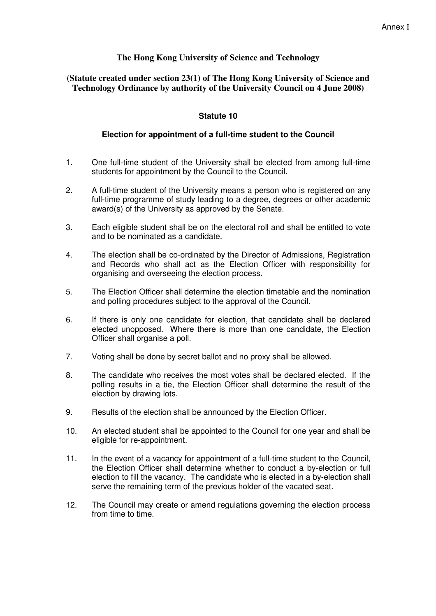## **The Hong Kong University of Science and Technology**

## **(Statute created under section 23(1) of The Hong Kong University of Science and Technology Ordinance by authority of the University Council on 4 June 2008)**

## **Statute 10**

#### **Election for appointment of a full-time student to the Council**

- 1. One full-time student of the University shall be elected from among full-time students for appointment by the Council to the Council.
- 2. A full-time student of the University means a person who is registered on any full-time programme of study leading to a degree, degrees or other academic award(s) of the University as approved by the Senate.
- 3. Each eligible student shall be on the electoral roll and shall be entitled to vote and to be nominated as a candidate.
- 4. The election shall be co-ordinated by the Director of Admissions, Registration and Records who shall act as the Election Officer with responsibility for organising and overseeing the election process.
- 5. The Election Officer shall determine the election timetable and the nomination and polling procedures subject to the approval of the Council.
- 6. If there is only one candidate for election, that candidate shall be declared elected unopposed. Where there is more than one candidate, the Election Officer shall organise a poll.
- 7. Voting shall be done by secret ballot and no proxy shall be allowed.
- 8. The candidate who receives the most votes shall be declared elected. If the polling results in a tie, the Election Officer shall determine the result of the election by drawing lots.
- 9. Results of the election shall be announced by the Election Officer.
- 10. An elected student shall be appointed to the Council for one year and shall be eligible for re-appointment.
- 11. In the event of a vacancy for appointment of a full-time student to the Council, the Election Officer shall determine whether to conduct a by-election or full election to fill the vacancy. The candidate who is elected in a by-election shall serve the remaining term of the previous holder of the vacated seat.
- 12. The Council may create or amend regulations governing the election process from time to time.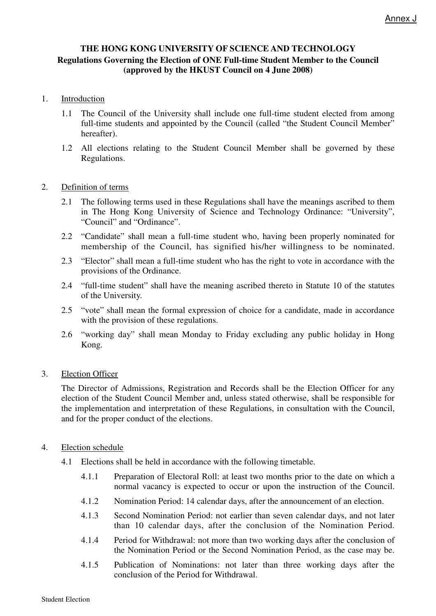## **THE HONG KONG UNIVERSITY OF SCIENCE AND TECHNOLOGY Regulations Governing the Election of ONE Full-time Student Member to the Council (approved by the HKUST Council on 4 June 2008)**

## 1. Introduction

- 1.1 The Council of the University shall include one full-time student elected from among full-time students and appointed by the Council (called "the Student Council Member" hereafter).
- 1.2 All elections relating to the Student Council Member shall be governed by these Regulations.

## 2. Definition of terms

- 2.1 The following terms used in these Regulations shall have the meanings ascribed to them in The Hong Kong University of Science and Technology Ordinance: "University", "Council" and "Ordinance".
- 2.2 "Candidate" shall mean a full-time student who, having been properly nominated for membership of the Council, has signified his/her willingness to be nominated.
- 2.3 "Elector" shall mean a full-time student who has the right to vote in accordance with the provisions of the Ordinance.
- 2.4 "full-time student" shall have the meaning ascribed thereto in Statute 10 of the statutes of the University.
- 2.5 "vote" shall mean the formal expression of choice for a candidate, made in accordance with the provision of these regulations.
- 2.6 "working day" shall mean Monday to Friday excluding any public holiday in Hong Kong.

## 3. Election Officer

The Director of Admissions, Registration and Records shall be the Election Officer for any election of the Student Council Member and, unless stated otherwise, shall be responsible for the implementation and interpretation of these Regulations, in consultation with the Council, and for the proper conduct of the elections.

- 4. Election schedule
	- 4.1 Elections shall be held in accordance with the following timetable.
		- 4.1.1 Preparation of Electoral Roll: at least two months prior to the date on which a normal vacancy is expected to occur or upon the instruction of the Council.
		- 4.1.2 Nomination Period: 14 calendar days, after the announcement of an election.
		- 4.1.3 Second Nomination Period: not earlier than seven calendar days, and not later than 10 calendar days, after the conclusion of the Nomination Period.
		- 4.1.4 Period for Withdrawal: not more than two working days after the conclusion of the Nomination Period or the Second Nomination Period, as the case may be.
		- 4.1.5 Publication of Nominations: not later than three working days after the conclusion of the Period for Withdrawal.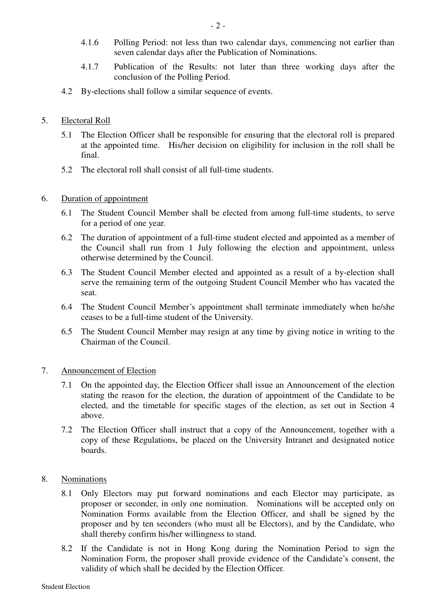- 4.1.6 Polling Period: not less than two calendar days, commencing not earlier than seven calendar days after the Publication of Nominations.
- 4.1.7 Publication of the Results: not later than three working days after the conclusion of the Polling Period.
- 4.2 By-elections shall follow a similar sequence of events.

## 5. Electoral Roll

- 5.1 The Election Officer shall be responsible for ensuring that the electoral roll is prepared at the appointed time. His/her decision on eligibility for inclusion in the roll shall be final.
- 5.2 The electoral roll shall consist of all full-time students.

## 6. Duration of appointment

- 6.1 The Student Council Member shall be elected from among full-time students, to serve for a period of one year.
- 6.2 The duration of appointment of a full-time student elected and appointed as a member of the Council shall run from 1 July following the election and appointment, unless otherwise determined by the Council.
- 6.3 The Student Council Member elected and appointed as a result of a by-election shall serve the remaining term of the outgoing Student Council Member who has vacated the seat.
- 6.4 The Student Council Member's appointment shall terminate immediately when he/she ceases to be a full-time student of the University.
- 6.5 The Student Council Member may resign at any time by giving notice in writing to the Chairman of the Council.

## 7. Announcement of Election

- 7.1 On the appointed day, the Election Officer shall issue an Announcement of the election stating the reason for the election, the duration of appointment of the Candidate to be elected, and the timetable for specific stages of the election, as set out in Section 4 above.
- 7.2 The Election Officer shall instruct that a copy of the Announcement, together with a copy of these Regulations, be placed on the University Intranet and designated notice boards.

## 8. Nominations

- 8.1 Only Electors may put forward nominations and each Elector may participate, as proposer or seconder, in only one nomination. Nominations will be accepted only on Nomination Forms available from the Election Officer, and shall be signed by the proposer and by ten seconders (who must all be Electors), and by the Candidate, who shall thereby confirm his/her willingness to stand.
- 8.2 If the Candidate is not in Hong Kong during the Nomination Period to sign the Nomination Form, the proposer shall provide evidence of the Candidate's consent, the validity of which shall be decided by the Election Officer.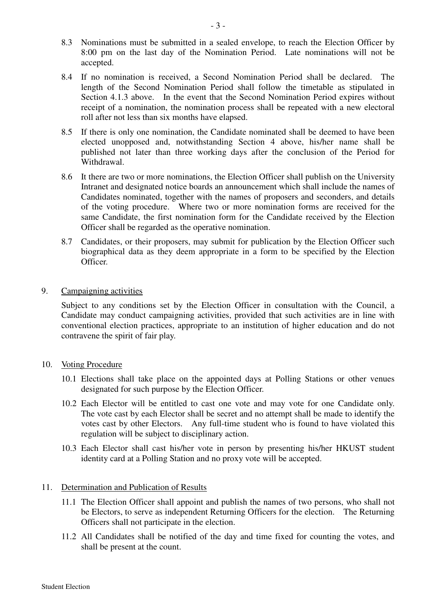- 8.3 Nominations must be submitted in a sealed envelope, to reach the Election Officer by 8:00 pm on the last day of the Nomination Period. Late nominations will not be accepted.
- 8.4 If no nomination is received, a Second Nomination Period shall be declared. The length of the Second Nomination Period shall follow the timetable as stipulated in Section 4.1.3 above. In the event that the Second Nomination Period expires without receipt of a nomination, the nomination process shall be repeated with a new electoral roll after not less than six months have elapsed.
- 8.5 If there is only one nomination, the Candidate nominated shall be deemed to have been elected unopposed and, notwithstanding Section 4 above, his/her name shall be published not later than three working days after the conclusion of the Period for Withdrawal.
- 8.6 It there are two or more nominations, the Election Officer shall publish on the University Intranet and designated notice boards an announcement which shall include the names of Candidates nominated, together with the names of proposers and seconders, and details of the voting procedure. Where two or more nomination forms are received for the same Candidate, the first nomination form for the Candidate received by the Election Officer shall be regarded as the operative nomination.
- 8.7 Candidates, or their proposers, may submit for publication by the Election Officer such biographical data as they deem appropriate in a form to be specified by the Election Officer.
- 9. Campaigning activities

Subject to any conditions set by the Election Officer in consultation with the Council, a Candidate may conduct campaigning activities, provided that such activities are in line with conventional election practices, appropriate to an institution of higher education and do not contravene the spirit of fair play.

- 10. Voting Procedure
	- 10.1 Elections shall take place on the appointed days at Polling Stations or other venues designated for such purpose by the Election Officer.
	- 10.2 Each Elector will be entitled to cast one vote and may vote for one Candidate only. The vote cast by each Elector shall be secret and no attempt shall be made to identify the votes cast by other Electors. Any full-time student who is found to have violated this regulation will be subject to disciplinary action.
	- 10.3 Each Elector shall cast his/her vote in person by presenting his/her HKUST student identity card at a Polling Station and no proxy vote will be accepted.

## 11. Determination and Publication of Results

- 11.1 The Election Officer shall appoint and publish the names of two persons, who shall not be Electors, to serve as independent Returning Officers for the election. The Returning Officers shall not participate in the election.
- 11.2 All Candidates shall be notified of the day and time fixed for counting the votes, and shall be present at the count.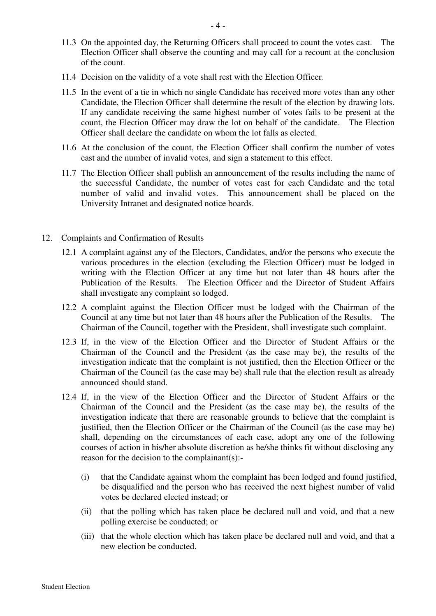- 11.3 On the appointed day, the Returning Officers shall proceed to count the votes cast. The Election Officer shall observe the counting and may call for a recount at the conclusion of the count.
- 11.4 Decision on the validity of a vote shall rest with the Election Officer.
- 11.5 In the event of a tie in which no single Candidate has received more votes than any other Candidate, the Election Officer shall determine the result of the election by drawing lots. If any candidate receiving the same highest number of votes fails to be present at the count, the Election Officer may draw the lot on behalf of the candidate. The Election Officer shall declare the candidate on whom the lot falls as elected.
- 11.6 At the conclusion of the count, the Election Officer shall confirm the number of votes cast and the number of invalid votes, and sign a statement to this effect.
- 11.7 The Election Officer shall publish an announcement of the results including the name of the successful Candidate, the number of votes cast for each Candidate and the total number of valid and invalid votes. This announcement shall be placed on the University Intranet and designated notice boards.

#### 12. Complaints and Confirmation of Results

- 12.1 A complaint against any of the Electors, Candidates, and/or the persons who execute the various procedures in the election (excluding the Election Officer) must be lodged in writing with the Election Officer at any time but not later than 48 hours after the Publication of the Results. The Election Officer and the Director of Student Affairs shall investigate any complaint so lodged.
- 12.2 A complaint against the Election Officer must be lodged with the Chairman of the Council at any time but not later than 48 hours after the Publication of the Results. The Chairman of the Council, together with the President, shall investigate such complaint.
- 12.3 If, in the view of the Election Officer and the Director of Student Affairs or the Chairman of the Council and the President (as the case may be), the results of the investigation indicate that the complaint is not justified, then the Election Officer or the Chairman of the Council (as the case may be) shall rule that the election result as already announced should stand.
- 12.4 If, in the view of the Election Officer and the Director of Student Affairs or the Chairman of the Council and the President (as the case may be), the results of the investigation indicate that there are reasonable grounds to believe that the complaint is justified, then the Election Officer or the Chairman of the Council (as the case may be) shall, depending on the circumstances of each case, adopt any one of the following courses of action in his/her absolute discretion as he/she thinks fit without disclosing any reason for the decision to the complainant(s):-
	- (i) that the Candidate against whom the complaint has been lodged and found justified, be disqualified and the person who has received the next highest number of valid votes be declared elected instead; or
	- (ii) that the polling which has taken place be declared null and void, and that a new polling exercise be conducted; or
	- (iii) that the whole election which has taken place be declared null and void, and that a new election be conducted.